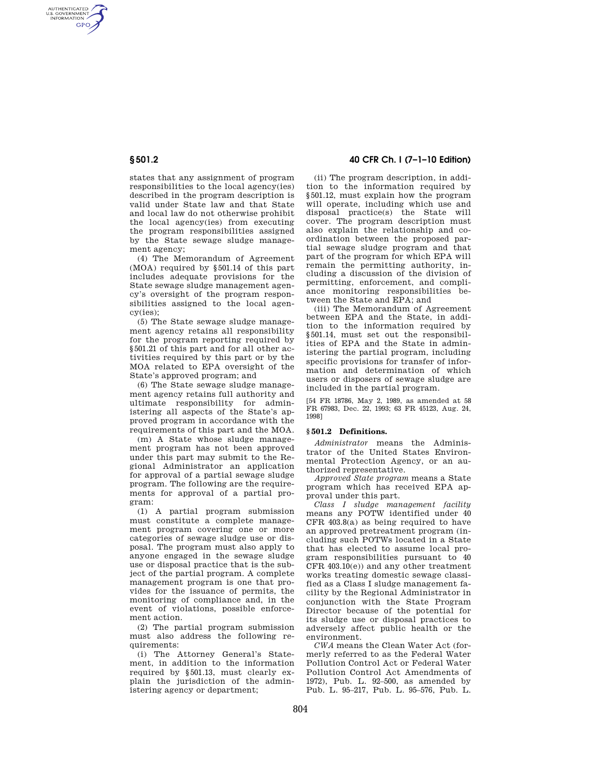AUTHENTICATED<br>U.S. GOVERNMENT<br>INFORMATION **GPO** 

> states that any assignment of program responsibilities to the local agency(ies) described in the program description is valid under State law and that State and local law do not otherwise prohibit the local agency(ies) from executing the program responsibilities assigned by the State sewage sludge management agency;

> (4) The Memorandum of Agreement (MOA) required by §501.14 of this part includes adequate provisions for the State sewage sludge management agency's oversight of the program responsibilities assigned to the local agency(ies);

> (5) The State sewage sludge management agency retains all responsibility for the program reporting required by §501.21 of this part and for all other activities required by this part or by the MOA related to EPA oversight of the State's approved program; and

> (6) The State sewage sludge management agency retains full authority and ultimate responsibility for administering all aspects of the State's approved program in accordance with the requirements of this part and the MOA.

> (m) A State whose sludge management program has not been approved under this part may submit to the Regional Administrator an application for approval of a partial sewage sludge program. The following are the requirements for approval of a partial program:

> (1) A partial program submission must constitute a complete management program covering one or more categories of sewage sludge use or disposal. The program must also apply to anyone engaged in the sewage sludge use or disposal practice that is the subject of the partial program. A complete management program is one that provides for the issuance of permits, the monitoring of compliance and, in the event of violations, possible enforcement action.

> (2) The partial program submission must also address the following requirements:

> (i) The Attorney General's Statement, in addition to the information required by §501.13, must clearly explain the jurisdiction of the administering agency or department;

# **§ 501.2 40 CFR Ch. I (7–1–10 Edition)**

(ii) The program description, in addition to the information required by §501.12, must explain how the program will operate, including which use and disposal practice(s) the State will cover. The program description must also explain the relationship and coordination between the proposed partial sewage sludge program and that part of the program for which EPA will remain the permitting authority, including a discussion of the division of permitting, enforcement, and compliance monitoring responsibilities between the State and EPA; and

(iii) The Memorandum of Agreement between EPA and the State, in addition to the information required by §501.14, must set out the responsibilities of EPA and the State in administering the partial program, including specific provisions for transfer of information and determination of which users or disposers of sewage sludge are included in the partial program.

[54 FR 18786, May 2, 1989, as amended at 58 FR 67983, Dec. 22, 1993; 63 FR 45123, Aug. 24, 1998]

### **§ 501.2 Definitions.**

*Administrator* means the Administrator of the United States Environmental Protection Agency, or an authorized representative.

*Approved State program* means a State program which has received EPA approval under this part.

*Class I sludge management facility*  means any POTW identified under 40 CFR 403.8(a) as being required to have an approved pretreatment program (including such POTWs located in a State that has elected to assume local program responsibilities pursuant to 40 CFR 403.10(e)) and any other treatment works treating domestic sewage classified as a Class I sludge management facility by the Regional Administrator in conjunction with the State Program Director because of the potential for its sludge use or disposal practices to adversely affect public health or the environment.

*CWA* means the Clean Water Act (formerly referred to as the Federal Water Pollution Control Act or Federal Water Pollution Control Act Amendments of 1972), Pub. L. 92–500, as amended by Pub. L. 95–217, Pub. L. 95–576, Pub. L.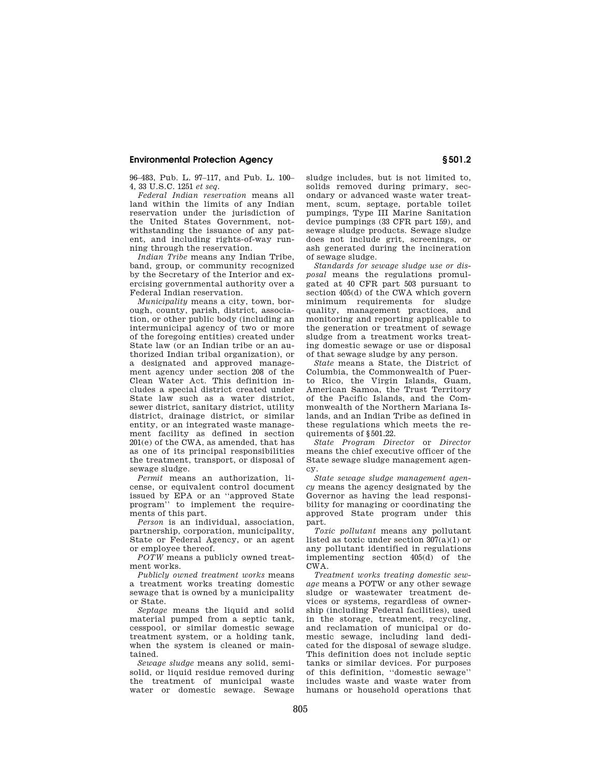## **Environmental Protection Agency § 501.2**

96–483, Pub. L. 97–117, and Pub. L. 100– 4, 33 U.S.C. 1251 *et seq.* 

*Federal Indian reservation* means all land within the limits of any Indian reservation under the jurisdiction of the United States Government, notwithstanding the issuance of any patent, and including rights-of-way running through the reservation.

*Indian Tribe* means any Indian Tribe, band, group, or community recognized by the Secretary of the Interior and exercising governmental authority over a Federal Indian reservation.

*Municipality* means a city, town, borough, county, parish, district, association, or other public body (including an intermunicipal agency of two or more of the foregoing entities) created under State law (or an Indian tribe or an authorized Indian tribal organization), or a designated and approved management agency under section 208 of the Clean Water Act. This definition includes a special district created under State law such as a water district, sewer district, sanitary district, utility district, drainage district, or similar entity, or an integrated waste management facility as defined in section 201(e) of the CWA, as amended, that has as one of its principal responsibilities the treatment, transport, or disposal of sewage sludge.

*Permit* means an authorization, license, or equivalent control document issued by EPA or an ''approved State program<sup>"</sup> to implement the requirements of this part.

*Person* is an individual, association, partnership, corporation, municipality, State or Federal Agency, or an agent or employee thereof.

*POTW* means a publicly owned treatment works.

*Publicly owned treatment works* means a treatment works treating domestic sewage that is owned by a municipality or State.

*Septage* means the liquid and solid material pumped from a septic tank, cesspool, or similar domestic sewage treatment system, or a holding tank, when the system is cleaned or maintained.

*Sewage sludge* means any solid, semisolid, or liquid residue removed during the treatment of municipal waste water or domestic sewage. Sewage sludge includes, but is not limited to, solids removed during primary, secondary or advanced waste water treatment, scum, septage, portable toilet pumpings, Type III Marine Sanitation device pumpings (33 CFR part 159), and sewage sludge products. Sewage sludge does not include grit, screenings, or ash generated during the incineration of sewage sludge.

*Standards for sewage sludge use or disposal* means the regulations promulgated at 40 CFR part 503 pursuant to section 405(d) of the CWA which govern minimum requirements for sludge quality, management practices, and monitoring and reporting applicable to the generation or treatment of sewage sludge from a treatment works treating domestic sewage or use or disposal of that sewage sludge by any person.

*State* means a State, the District of Columbia, the Commonwealth of Puerto Rico, the Virgin Islands, Guam, American Samoa, the Trust Territory of the Pacific Islands, and the Commonwealth of the Northern Mariana Islands, and an Indian Tribe as defined in these regulations which meets the requirements of §501.22.

*State Program Director* or *Director*  means the chief executive officer of the State sewage sludge management agency.

*State sewage sludge management agency* means the agency designated by the Governor as having the lead responsibility for managing or coordinating the approved State program under this part.

*Toxic pollutant* means any pollutant listed as toxic under section 307(a)(1) or any pollutant identified in regulations implementing section 405(d) of the  $\overline{\text{CW}}$  A

*Treatment works treating domestic sewage* means a POTW or any other sewage sludge or wastewater treatment devices or systems, regardless of ownership (including Federal facilities), used in the storage, treatment, recycling, and reclamation of municipal or domestic sewage, including land dedicated for the disposal of sewage sludge. This definition does not include septic tanks or similar devices. For purposes of this definition, ''domestic sewage'' includes waste and waste water from humans or household operations that